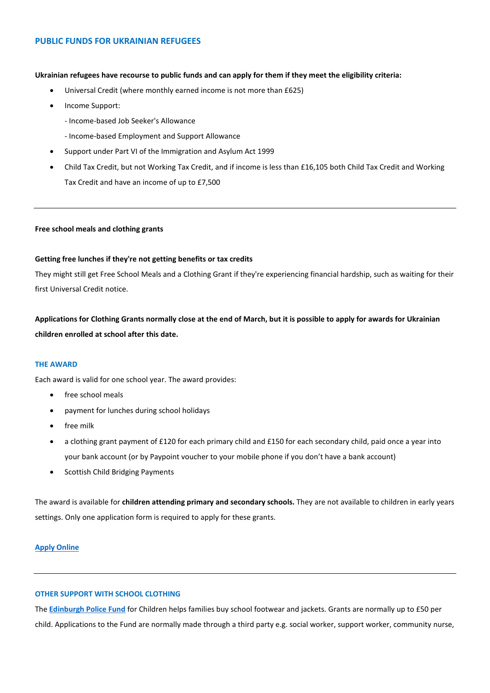# **PUBLIC FUNDS FOR UKRAINIAN REFUGEES**

#### **Ukrainian refugees have recourse to public funds and can apply for them if they meet the eligibility criteria:**

- Universal Credit (where monthly earned income is not more than £625)
- Income Support:
	- Income-based Job Seeker's Allowance
	- Income-based Employment and Support Allowance
- Support under Part VI of the Immigration and Asylum Act 1999
- Child Tax Credit, but not Working Tax Credit, and if income is less than £16,105 both Child Tax Credit and Working Tax Credit and have an income of up to £7,500

### **Free school meals and clothing grants**

### **Getting free lunches if they're not getting benefits or tax credits**

They might still get Free School Meals and a Clothing Grant if they're experiencing financial hardship, such as waiting for their first Universal Credit notice.

**Applications for Clothing Grants normally close at the end of March, but it is possible to apply for awards for Ukrainian children enrolled at school after this date.** 

### **THE AWARD**

Each award is valid for one school year. The award provides:

- free school meals
- payment for lunches during school holidays
- free milk
- a clothing grant payment of £120 for each primary child and £150 for each secondary child, paid once a year into your bank account (or by Paypoint voucher to your mobile phone if you don't have a bank account)
- Scottish Child Bridging Payments

The award is available for **children attending primary and secondary schools.** They are not available to children in early years settings. Only one application form is required to apply for these grants.

## **[Apply Online](https://www.edinburgh.gov.uk/xfp/form/261)**

# **OTHER SUPPORT WITH SCHOOL CLOTHING**

The **[Edinburgh Police Fund](http://www.eltf.org.uk/edinburgh-police-fund-for-children/)** for Children helps families buy school footwear and jackets. Grants are normally up to £50 per child. Applications to the Fund are normally made through a third party e.g. social worker, support worker, community nurse,